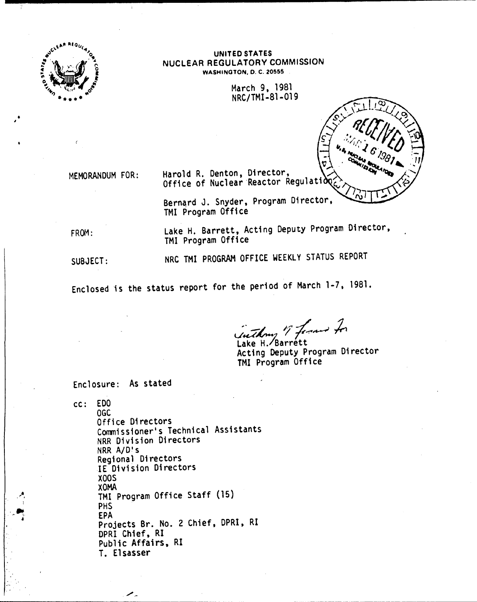

**UNITED STATES** NUCLEAR REGULATORY COMMISSION WASHINGTON, D. C. 20555

> March 9, 1981 NRC/TMI-81-019

MEMORANDUM FOR:

Harold R. Denton, Director, Office of Nuclear Reactor Regulation

Bernard J. Snyder, Program Director, TMI Program Office

FROM:

Lake H. Barrett, Acting Deputy Program Director, TMI Program Office

SUBJECT:

NRC TMI PROGRAM OFFICE WEEKLY STATUS REPORT

Enclosed is the status report for the period of March 1-7, 1981.

inthony of former for

Lake H. Barrett Acting Deputy Program Director TMI Program Office

Enclosure: As stated

╱.

cc: EDO OGC Office Directors Commissioner's Technical Assistants NRR Division Directors NRR A/D's Regional Directors IE Division Directors **X00S AMOX** TMI Program Office Staff (15) **PHS EPA** Projects Br. No. 2 Chief, DPRI, RI DPRI Chief, RI Public Affairs, RI T. Elsasser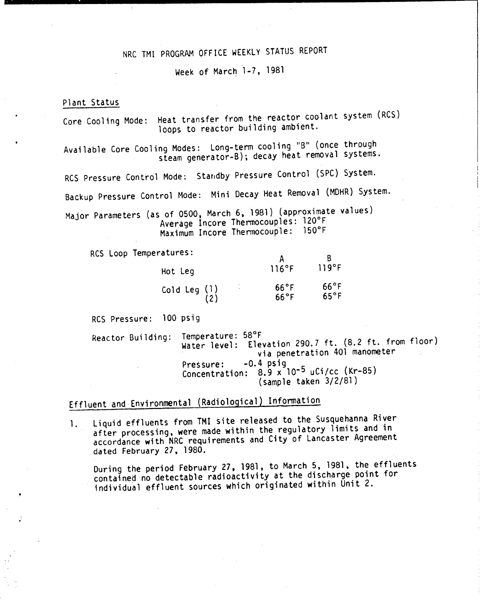## NRC TMI PROGRAM OFFICE WEEKLY STATUS REPORT

Week of March 1-7, 1981

#### Plant Status

Core Cooling Mode: Heat transfer from the reactor coolant system (RCS) loops to reactor building ambient.

Available Core Cooling Modes: Long-term cooling "B" (once through steam generator-B); decay heat removal systems.

RCS Pressure Control Mode: Standby Pressure Control (SPC) System.

Backup Pressure Control Mode: Mini Decay Heat Removal (MOHR) System.

Major Parameters (as of 0500, March 6, 1981) (approximate values) Average lncore Thermocouples: 120°F Maximum lncore Thermocouple: 150°F

RCS Loop Temperatures:

| Hot Leg                         | 116°F                            | 119°F                            |
|---------------------------------|----------------------------------|----------------------------------|
| ٠<br>Cold Leg $(1)$<br>٠<br>(2) | $66^{\circ}$ F<br>$66^{\circ}$ F | $66^{\circ}$ F<br>$65^{\circ}$ F |

RCS Pressure: 100 psig

Reactor Building: Temperature: 58°F Water level: Elevation 290.7 ft. (8.2 ft. from floor) via penetration 401 manometer<br>-0.4 psig Pressure: -0.4 psig Concentration: 8.9 x 10-5 uCi/cc (Kr-85) (sample taken 3/2/81)

# Effluent and Environmental (Radiological) Information

1. Liquid effluents from TMI site released to the Susquehanna River after processing, were made within the regulatory limits and in accordance with NRC requirements and City of Lancaster Agreement dated February 27, 1980.

During the period February 27,1981, to March 5, 1981, the effluents contained no detectable radioactivity at the discharge point for individual effluent sources which originated within Unit 2.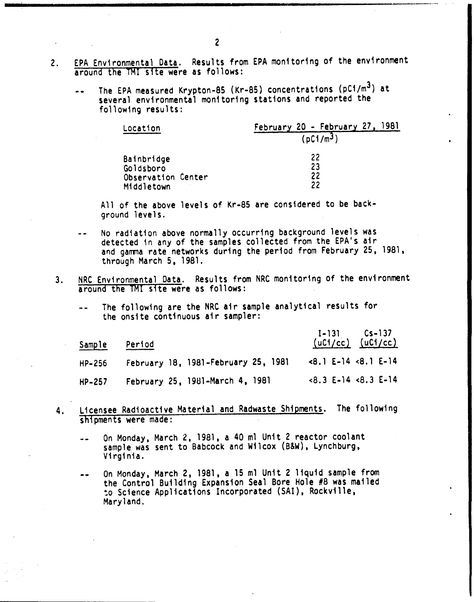- 2. EPA Environmental Data. Results from EPA monitoring of the environment around the TM! site were as follows:
	- The EPA measured Krypton-8S (Kr-8S) concentrations (pCi/m3) at several environmental monitoring stations and reported the following results:

| Location           | February 20 - February 27, 1981 |
|--------------------|---------------------------------|
|                    | $(pC1/m^3)$                     |
| Bainbridge         | 22                              |
| Goldsboro          | 23                              |
| Observation Center | 22                              |
| Middletown         | 22                              |

All of the above levels of Kr-8S are considered to be background levels.

- No radiation above normally occurring background levels was detected in any of the samples collected from the EPA's air and gamma rate networks during the period from February 25, 1981, through March 5, 1981.
- 3. NRC Environmental Data. Results from NRC monitoring of the environment around the TMI site were as follows:
	- The following are the NRC air sample analytical results for the onsite continuous air sampler:

| Sample | Period                              | $I-131$ $Cs-137$<br>$(uCl/cc)$ $(uCl/cc)$ |
|--------|-------------------------------------|-------------------------------------------|
| HP-256 | February 18, 1981-February 25, 1981 | $<8.1$ E-14 $<8.1$ E-14                   |
| HP-257 | February 25, 1981-March 4, 1981     | $<8.3$ E-14 $<8.3$ E-14                   |

- 4. Licensee Radioactive Material and Radwaste Shipments. The following shipments were made:
	- On Monday, March 2. 1981, a 40 ml Unit 2 reactor coolant  $\rightarrow$ sample was sent to Babcock and Wilcox (B&W), Lynchburg, Virginia.
	- On Monday, March 2, 1981, a 15 m1 Unit 2 liquid sample from -the Control Building Expansion Seal Bore Hole #8 was mailed to Science Applications Incorporated (SAI), Rockville, Maryland.

\_..\_-----\_ ..•..•\_------------------------\_.\_---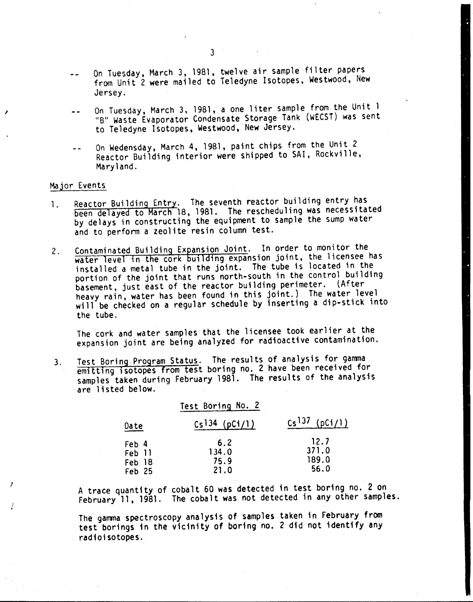- On Tuesday, March 3, 1981, twelve air sample filter papers  $\sim$   $\sim$ from Unit 2 were mailed to Teledyne Isotopes, Westwood, New Jersey.
- On Tuesday, March 3,1981, a one liter sample from the Unit 1 "B" Waste Evaporator Condensate Storage Tank (WECST) was sent to Teledyne Isotopes, Westwood, New Jersey.
- On Wedensday, March 4, 1981, paint chips from the Unit 2 Reactor Building interior were shipped to SAl, Rockville, Maryland.

### Major Events

*I*

*l*

 $\frac{1}{2}$ 

- 1. Reactor Building Entry. The seventh reactor building entry has been delayed to March 18, 1981. The rescheduling was necessitated by delays in constructing the equipment to sample the sump water and to perform a zeolite resin column test.
- 2. Contaminated Building Expansion Joint. In order to monitor the water level in the cork building expansion joint, the licensee has installed a metal tube in the joint. The tube is located in the portion of the joint that runs north-south in the control building basement, just east of the reactor building perimeter. (After heavy rain, water has been found in this joint.) The water level will be checked on a regular schedule by inserting a dip-stick into the tube.

The cork and water samples that the licensee took earlier at the expansion joint are being analyzed for radioactive contamination.

3. Test Boring,Program Status. The results of analysis for gamma emitting isotopes from test boring no. 2 have been received for samples taken during February 1981. The results of the analysis are listed below.

|                                     | Test Boring No. 2            |                                |
|-------------------------------------|------------------------------|--------------------------------|
| Date                                | $Cs$ <sup>134</sup> (pCi/1)  | $Cs^{137}$ (pCi/1)             |
| Feb 4<br>Feb 11<br>Feb 18<br>Feb 25 | 6.2<br>134.0<br>75.9<br>21.0 | 12.7<br>371.0<br>189.0<br>56.0 |

A trace quantity of cobalt 60 was detected in test boring no. 2 on February 11, 1981. The cobalt was not detected in any other samples.

The gamma spectroscopy analysis of samples taken in February from test borings in the vicinity of boring no. 2 did not identify any radioisotopes.